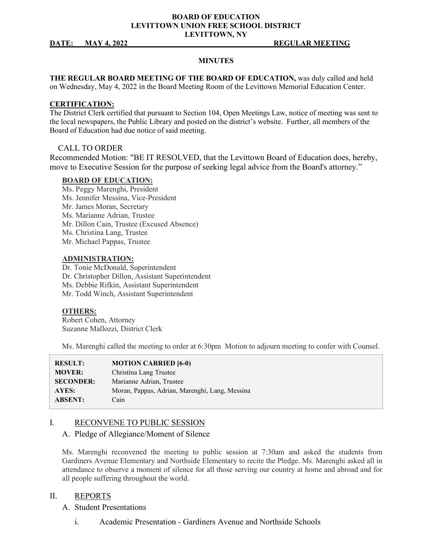### **BOARD OF EDUCATION LEVITTOWN UNION FREE SCHOOL DISTRICT LEVITTOWN, NY**

#### **DATE: MAY 4, 2022 REGULAR MEETING**

#### **MINUTES**

**THE REGULAR BOARD MEETING OF THE BOARD OF EDUCATION,** was duly called and held on Wednesday, May 4, 2022 in the Board Meeting Room of the Levittown Memorial Education Center.

#### **CERTIFICATION:**

The District Clerk certified that pursuant to Section 104, Open Meetings Law, notice of meeting was sent to the local newspapers, the Public Library and posted on the district's website. Further, all members of the Board of Education had due notice of said meeting.

#### CALL TO ORDER

Recommended Motion: "BE IT RESOLVED, that the Levittown Board of Education does, hereby, move to Executive Session for the purpose of seeking legal advice from the Board's attorney."

#### **BOARD OF EDUCATION:**

- Ms. Peggy Marenghi, President
- Ms. Jennifer Messina, Vice-President
- Mr. James Moran, Secretary
- Ms. Marianne Adrian, Trustee
- Mr. Dillon Cain, Trustee (Excused Absence)
- Ms. Christina Lang, Trustee
- Mr. Michael Pappas, Trustee

#### **ADMINISTRATION:**

Dr. Tonie McDonald, Superintendent Dr. Christopher Dillon, Assistant Superintendent Ms. Debbie Rifkin, Assistant Superintendent Mr. Todd Winch, Assistant Superintendent

#### **OTHERS:**

Robert Cohen, Attorney Suzanne Mallozzi, District Clerk

Ms. Marenghi called the meeting to order at 6:30pm Motion to adjourn meeting to confer with Counsel.

| <b>RESULT:</b>   | <b>MOTION CARRIED [6-0)</b>                    |
|------------------|------------------------------------------------|
| <b>MOVER:</b>    | Christina Lang Trustee                         |
| <b>SECONDER:</b> | Marianne Adrian, Trustee                       |
| AYES:            | Moran, Pappas, Adrian, Marenghi, Lang, Messina |
| <b>ABSENT:</b>   | Cain                                           |

#### I. RECONVENE TO PUBLIC SESSION

#### A. Pledge of Allegiance/Moment of Silence

Ms. Marenghi reconvened the meeting to public session at 7:30am and asked the students from Gardiners Avenue Elementary and Northside Elementary to recite the Pledge. Ms. Marenghi asked all in attendance to observe a moment of silence for all those serving our country at home and abroad and for all people suffering throughout the world.

#### II. REPORTS

- A. Student Presentations
	- i. Academic Presentation Gardiners Avenue and Northside Schools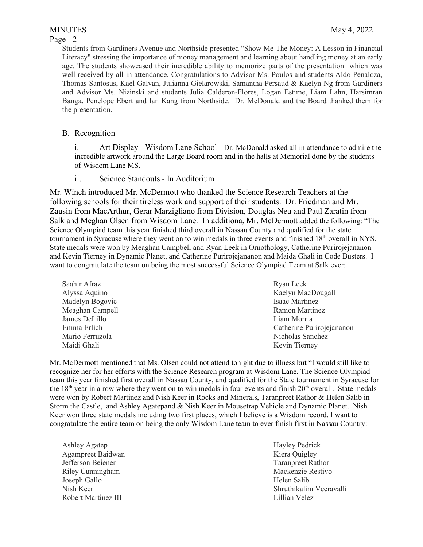# Page - 2

Students from Gardiners Avenue and Northside presented "Show Me The Money: A Lesson in Financial Literacy" stressing the importance of money management and learning about handling money at an early age. The students showcased their incredible ability to memorize parts of the presentation which was well received by all in attendance. Congratulations to Advisor Ms. Poulos and students Aldo Penaloza, Thomas Santosus, Kael Galvan, Julianna Gielarowski, Samantha Persaud & Kaelyn Ng from Gardiners and Advisor Ms. Nizinski and students Julia Calderon-Flores, Logan Estime, Liam Lahn, Harsimran Banga, Penelope Ebert and Ian Kang from Northside. Dr. McDonald and the Board thanked them for the presentation.

# B. Recognition

i. Art Display - Wisdom Lane School - Dr. McDonald asked all in attendance to admire the incredible artwork around the Large Board room and in the halls at Memorial done by the students of Wisdom Lane MS.

ii. Science Standouts - In Auditorium

Mr. Winch introduced Mr. McDermott who thanked the Science Research Teachers at the following schools for their tireless work and support of their students: Dr. Friedman and Mr. Zausin from MacArthur, Gerar Marzigliano from Division, Douglas Neu and Paul Zaratin from Salk and Meghan Olsen from Wisdom Lane. In additiona, Mr. McDermott added the following: "The Science Olympiad team this year finished third overall in Nassau County and qualified for the state tournament in Syracuse where they went on to win medals in three events and finished 18<sup>th</sup> overall in NYS. State medals were won by Meaghan Campbell and Ryan Leek in Ornothology, Catherine Purirojejananon and Kevin Tierney in Dynamic Planet, and Catherine Purirojejananon and Maida Ghali in Code Busters. I want to congratulate the team on being the most successful Science Olympiad Team at Salk ever:

| Ryan Leek                 |
|---------------------------|
| Kaelyn MacDougall         |
| Isaac Martinez            |
| Ramon Martinez            |
| Liam Morria               |
| Catherine Purirojejananon |
| Nicholas Sanchez          |
| Kevin Tierney             |
|                           |

Mr. McDermott mentioned that Ms. Olsen could not attend tonight due to illness but "I would still like to recognize her for her efforts with the Science Research program at Wisdom Lane. The Science Olympiad team this year finished first overall in Nassau County, and qualified for the State tournament in Syracuse for the  $18<sup>th</sup>$  year in a row where they went on to win medals in four events and finish  $20<sup>th</sup>$  overall. State medals were won by Robert Martinez and Nish Keer in Rocks and Minerals, Taranpreet Rathor & Helen Salib in Storm the Castle, and Ashley Agatepand & Nish Keer in Mousetrap Vehicle and Dynamic Planet. Nish Keer won three state medals including two first places, which I believe is a Wisdom record. I want to congratulate the entire team on being the only Wisdom Lane team to ever finish first in Nassau Country:

Ashley Agatep Hayley Pedrick Agampreet Baidwan Kiera Quigley Jefferson Beiener Taranpreet Rathor Riley Cunningham **Mackenzie Restivo** Mackenzie Restivo Joseph Gallo Helen Salib Robert Martinez III and the contract of the contract of the Lillian Velez

Nish Keer Shruthikalim Veeravalli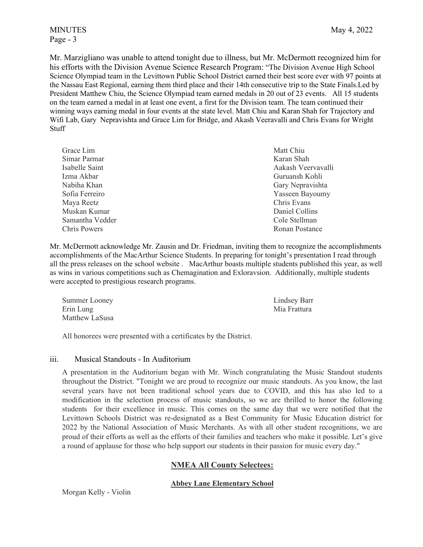Page - 3

Mr. Marzigliano was unable to attend tonight due to illness, but Mr. McDermott recognized him for his efforts with the Division Avenue Science Research Program: "The Division Avenue High School Science Olympiad team in the Levittown Public School District earned their best score ever with 97 points at the Nassau East Regional, earning them third place and their 14th consecutive trip to the State Finals.Led by President Matthew Chiu, the Science Olympiad team earned medals in 20 out of 23 events. All 15 students on the team earned a medal in at least one event, a first for the Division team. The team continued their winning ways earning medal in four events at the state level. Matt Chiu and Karan Shah for Trajectory and Wifi Lab, Gary Nepravishta and Grace Lim for Bridge, and Akash Veeravalli and Chris Evans for Wright Stuff

| Matt Chiu          |
|--------------------|
| Karan Shah         |
| Aakash Veervavalli |
| Guruansh Kohli     |
| Gary Nepravishta   |
| Yasseen Bayoumy    |
| Chris Evans        |
| Daniel Collins     |
| Cole Stellman      |
| Ronan Postance     |
|                    |

Mr. McDermott acknowledge Mr. Zausin and Dr. Friedman, inviting them to recognize the accomplishments accomplishments of the MacArthur Science Students. In preparing for tonight's presentation I read through all the press releases on the school website . MacArthur boasts multiple students published this year, as well as wins in various competitions such as Chemagination and Exloravsion. Additionally, multiple students were accepted to prestigious research programs.

| Summer Looney  | Lindsey Barr |
|----------------|--------------|
| Erin Lung      | Mia Frattura |
| Matthew LaSusa |              |

All honorees were presented with a certificates by the District.

#### iii. Musical Standouts - In Auditorium

A presentation in the Auditorium began with Mr. Winch congratulating the Music Standout students throughout the District. "Tonight we are proud to recognize our music standouts. As you know, the last several years have not been traditional school years due to COVID, and this has also led to a modification in the selection process of music standouts, so we are thrilled to honor the following students for their excellence in music. This comes on the same day that we were notified that the Levittown Schools District was re-designated as a Best Community for Music Education district for 2022 by the National Association of Music Merchants. As with all other student recognitions, we are proud of their efforts as well as the efforts of their families and teachers who make it possible. Let's give a round of applause for those who help support our students in their passion for music every day."

# **NMEA All County Selectees:**

### **Abbey Lane Elementary School**

Morgan Kelly - Violin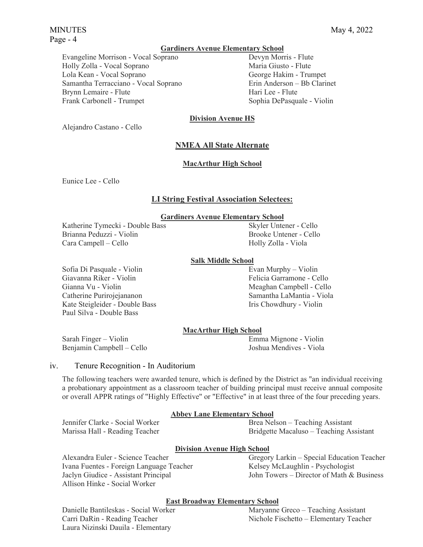#### **Gardiners Avenue Elementary School**

Evangeline Morrison - Vocal Soprano Devyn Morris - Flute Holly Zolla - Vocal Soprano Maria Giusto - Flute Lola Kean - Vocal Soprano George Hakim - Trumpet Samantha Terracciano - Vocal Soprano **Erin Anderson** – Bb Clarinet Brynn Lemaire - Flute Hari Lee - Flute Frank Carbonell - Trumpet Sophia DePasquale - Violin

# **Division Avenue HS**

Alejandro Castano - Cello

# **NMEA All State Alternate**

### **MacArthur High School**

Eunice Lee - Cello

# **LI String Festival Association Selectees:**

# **Gardiners Avenue Elementary School**

Katherine Tymecki - Double Bass Skyler Untener - Cello Brianna Peduzzi - Violin and a control brooke Untener - Cello Cara Campell – Cello Holly Zolla - Viola

### **Salk Middle School**

Sofia Di Pasquale - Violin **Evan Murphy – Violin** Evan Murphy – Violin Giavanna Riker - Violin **Felicia Garramone - Cello** Gianna Vu - Violin **Meaghan Campbell - Cello** Catherine Purirojejananon Samantha LaMantia - Viola Kate Steigleider - Double Bass **Iris Chowdhury - Violin** Paul Silva - Double Bass

# **MacArthur High School**

Sarah Finger – Violin Emma Mignone - Violin Benjamin Campbell – Cello Joshua Mendives - Viola

### iv. Tenure Recognition - In Auditorium

The following teachers were awarded tenure, which is defined by the District as "an individual receiving a probationary appointment as a classroom teacher of building principal must receive annual composite or overall APPR ratings of "Highly Effective" or "Effective" in at least three of the four preceding years.

### **Abbey Lane Elementary School**

Jennifer Clarke - Social Worker Brea Nelson – Teaching Assistant Marissa Hall - Reading Teacher Bridgette Macaluso – Teaching Assistant

### **Division Avenue High School**

Ivana Fuentes - Foreign Language Teacher Kelsey McLaughlin - Psychologist Allison Hinke - Social Worker

Alexandra Euler - Science Teacher Gregory Larkin – Special Education Teacher Jaclyn Giudice - Assistant Principal John Towers – Director of Math & Business

### **East Broadway Elementary School**

Laura Nizinski Dauila - Elementary

Danielle Bantileskas - Social Worker Maryanne Greco – Teaching Assistant Carri DaRin - Reading Teacher Nichole Fischetto – Elementary Teacher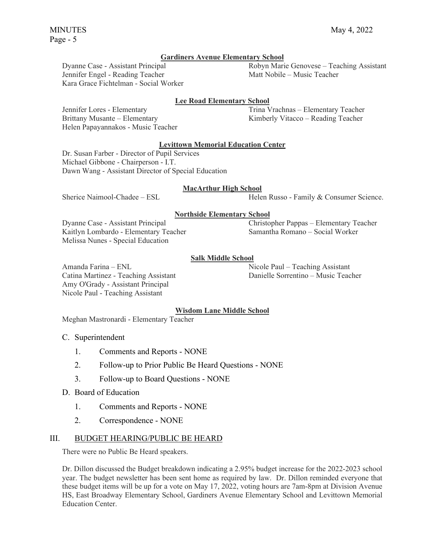### **Gardiners Avenue Elementary School**

Jennifer Engel - Reading Teacher Matt Nobile – Music Teacher Kara Grace Fichtelman - Social Worker

# Dyanne Case - Assistant Principal Robyn Marie Genovese – Teaching Assistant

# **Lee Road Elementary School**

Helen Papayannakos - Music Teacher

Jennifer Lores - Elementary Trina Vrachnas – Elementary Teacher Brittany Musante – Elementary and Kimberly Vitacco – Reading Teacher

#### **Levittown Memorial Education Center**

Dr. Susan Farber - Director of Pupil Services Michael Gibbone - Chairperson - I.T. Dawn Wang - Assistant Director of Special Education

#### **MacArthur High School**

Sherice Naimool-Chadee – ESL Helen Russo - Family & Consumer Science.

#### **Northside Elementary School**

Dyanne Case - Assistant Principal Christopher Pappas – Elementary Teacher Kaitlyn Lombardo - Elementary Teacher Samantha Romano – Social Worker Melissa Nunes - Special Education

#### **Salk Middle School**

Amanda Farina – ENL **Nicole Paul – Teaching Assistant** Catina Martinez - Teaching Assistant Danielle Sorrentino – Music Teacher Amy O'Grady - Assistant Principal Nicole Paul - Teaching Assistant

#### **Wisdom Lane Middle School**

Meghan Mastronardi - Elementary Teacher

#### C. Superintendent

- 1. Comments and Reports NONE
- 2. Follow-up to Prior Public Be Heard Questions NONE
- 3. Follow-up to Board Questions NONE
- D. Board of Education
	- 1. Comments and Reports NONE
	- 2. Correspondence NONE

#### III. BUDGET HEARING/PUBLIC BE HEARD

There were no Public Be Heard speakers.

Dr. Dillon discussed the Budget breakdown indicating a 2.95% budget increase for the 2022-2023 school year. The budget newsletter has been sent home as required by law. Dr. Dillon reminded everyone that these budget items will be up for a vote on May 17, 2022, voting hours are 7am-8pm at Division Avenue HS, East Broadway Elementary School, Gardiners Avenue Elementary School and Levittown Memorial Education Center.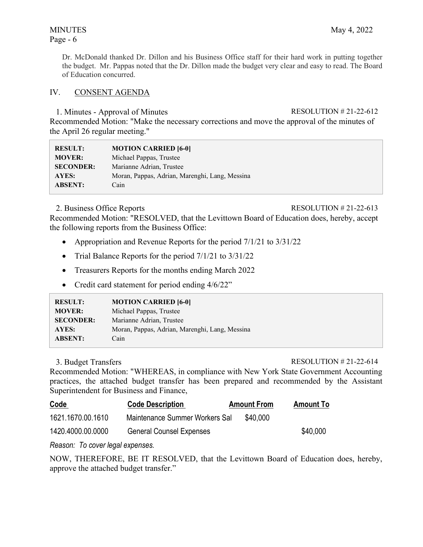# Page - 6

Dr. McDonald thanked Dr. Dillon and his Business Office staff for their hard work in putting together the budget. Mr. Pappas noted that the Dr. Dillon made the budget very clear and easy to read. The Board of Education concurred.

# IV. CONSENT AGENDA

# 1. Minutes - Approval of Minutes RESOLUTION # 21-22-612

Recommended Motion: "Make the necessary corrections and move the approval of the minutes of the April 26 regular meeting."

| <b>RESULT:</b>   | <b>MOTION CARRIED [6-0]</b>                    |
|------------------|------------------------------------------------|
| <b>MOVER:</b>    | Michael Pappas, Trustee                        |
| <b>SECONDER:</b> | Marianne Adrian, Trustee                       |
| AYES:            | Moran, Pappas, Adrian, Marenghi, Lang, Messina |
| <b>ABSENT:</b>   | Cain                                           |

# 2. Business Office Reports RESOLUTION # 21-22-613

Recommended Motion: "RESOLVED, that the Levittown Board of Education does, hereby, accept the following reports from the Business Office:

- Appropriation and Revenue Reports for the period  $7/1/21$  to  $3/31/22$
- Trial Balance Reports for the period  $7/1/21$  to  $3/31/22$
- Treasurers Reports for the months ending March 2022
- Credit card statement for period ending  $4/6/22$ "

| <b>RESULT:</b>   | <b>MOTION CARRIED [6-0]</b>                    |
|------------------|------------------------------------------------|
| <b>MOVER:</b>    | Michael Pappas, Trustee                        |
| <b>SECONDER:</b> | Marianne Adrian, Trustee                       |
| AYES:            | Moran, Pappas, Adrian, Marenghi, Lang, Messina |
| <b>ABSENT:</b>   | Cain                                           |

3. Budget Transfers RESOLUTION # 21-22-614

Recommended Motion: "WHEREAS, in compliance with New York State Government Accounting practices, the attached budget transfer has been prepared and recommended by the Assistant Superintendent for Business and Finance,

| <b>Code</b>       | <b>Code Description</b>         | <b>Amount From</b> | <b>Amount To</b> |
|-------------------|---------------------------------|--------------------|------------------|
| 1621.1670.00.1610 | Maintenance Summer Workers Sal  | \$40,000           |                  |
| 1420.4000.00.0000 | <b>General Counsel Expenses</b> |                    | \$40,000         |

*Reason: To cover legal expenses.* 

NOW, THEREFORE, BE IT RESOLVED, that the Levittown Board of Education does, hereby, approve the attached budget transfer."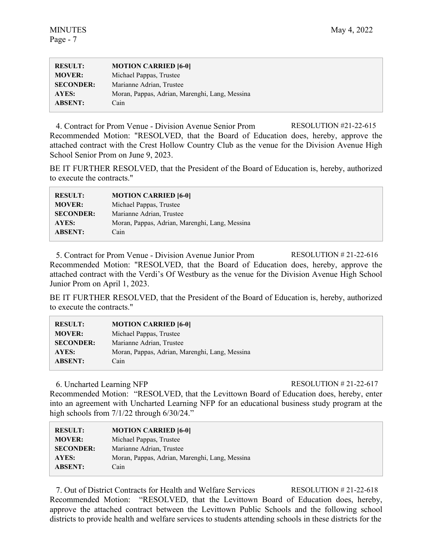| <b>RESULT:</b>   | <b>MOTION CARRIED [6-0]</b>                    |
|------------------|------------------------------------------------|
| <b>MOVER:</b>    | Michael Pappas, Trustee                        |
| <b>SECONDER:</b> | Marianne Adrian, Trustee                       |
| <b>AYES:</b>     | Moran, Pappas, Adrian, Marenghi, Lang, Messina |
| <b>ABSENT:</b>   | Cain                                           |

4. Contract for Prom Venue - Division Avenue Senior Prom RESOLUTION #21-22-615 Recommended Motion: "RESOLVED, that the Board of Education does, hereby, approve the attached contract with the Crest Hollow Country Club as the venue for the Division Avenue High School Senior Prom on June 9, 2023.

BE IT FURTHER RESOLVED, that the President of the Board of Education is, hereby, authorized to execute the contracts."

| <b>RESULT:</b>   | <b>MOTION CARRIED [6-0]</b>                    |
|------------------|------------------------------------------------|
| <b>MOVER:</b>    | Michael Pappas, Trustee                        |
| <b>SECONDER:</b> | Marianne Adrian, Trustee                       |
| AYES:            | Moran, Pappas, Adrian, Marenghi, Lang, Messina |
| <b>ABSENT:</b>   | Cain                                           |

5. Contract for Prom Venue - Division Avenue Junior Prom RESOLUTION # 21-22-616 Recommended Motion: "RESOLVED, that the Board of Education does, hereby, approve the attached contract with the Verdi's Of Westbury as the venue for the Division Avenue High School Junior Prom on April 1, 2023.

BE IT FURTHER RESOLVED, that the President of the Board of Education is, hereby, authorized to execute the contracts."

| <b>RESULT:</b>   | <b>MOTION CARRIED [6-0]</b>                    |
|------------------|------------------------------------------------|
| <b>MOVER:</b>    | Michael Pappas, Trustee                        |
| <b>SECONDER:</b> | Marianne Adrian, Trustee                       |
| AYES:            | Moran, Pappas, Adrian, Marenghi, Lang, Messina |
| <b>ABSENT:</b>   | Cain                                           |

6. Uncharted Learning NFP RESOLUTION # 21-22-617

Recommended Motion: "RESOLVED, that the Levittown Board of Education does, hereby, enter into an agreement with Uncharted Learning NFP for an educational business study program at the high schools from  $7/1/22$  through 6/30/24."

| <b>RESULT:</b>   | <b>MOTION CARRIED [6-0]</b>                    |
|------------------|------------------------------------------------|
| <b>MOVER:</b>    | Michael Pappas, Trustee                        |
| <b>SECONDER:</b> | Marianne Adrian, Trustee                       |
| AYES:            | Moran, Pappas, Adrian, Marenghi, Lang, Messina |
| <b>ABSENT:</b>   | Cain                                           |

7. Out of District Contracts for Health and Welfare Services RESOLUTION # 21-22-618 Recommended Motion: "RESOLVED, that the Levittown Board of Education does, hereby, approve the attached contract between the Levittown Public Schools and the following school districts to provide health and welfare services to students attending schools in these districts for the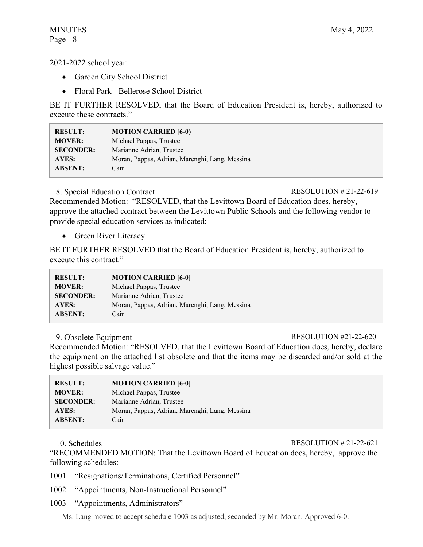2021-2022 school year:

- Garden City School District
- Floral Park Bellerose School District

BE IT FURTHER RESOLVED, that the Board of Education President is, hereby, authorized to execute these contracts."

| <b>RESULT:</b>   | <b>MOTION CARRIED [6-0)</b>                    |
|------------------|------------------------------------------------|
| <b>MOVER:</b>    | Michael Pappas, Trustee                        |
| <b>SECONDER:</b> | Marianne Adrian, Trustee                       |
| AYES:            | Moran, Pappas, Adrian, Marenghi, Lang, Messina |
| <b>ABSENT:</b>   | Cain                                           |

8. Special Education Contract RESOLUTION # 21-22-619

Recommended Motion: "RESOLVED, that the Levittown Board of Education does, hereby, approve the attached contract between the Levittown Public Schools and the following vendor to provide special education services as indicated:

• Green River Literacy

BE IT FURTHER RESOLVED that the Board of Education President is, hereby, authorized to execute this contract."

| <b>RESULT:</b>   | <b>MOTION CARRIED [6-0]</b>                    |
|------------------|------------------------------------------------|
| <b>MOVER:</b>    | Michael Pappas, Trustee                        |
| <b>SECONDER:</b> | Marianne Adrian, Trustee                       |
| AYES:            | Moran, Pappas, Adrian, Marenghi, Lang, Messina |
| <b>ABSENT:</b>   | Cain                                           |

### 9. Obsolete Equipment RESOLUTION #21-22-620

Recommended Motion: "RESOLVED, that the Levittown Board of Education does, hereby, declare the equipment on the attached list obsolete and that the items may be discarded and/or sold at the highest possible salvage value."

| <b>RESULT:</b>   | <b>MOTION CARRIED [6-0]</b>                    |
|------------------|------------------------------------------------|
| <b>MOVER:</b>    | Michael Pappas, Trustee                        |
| <b>SECONDER:</b> | Marianne Adrian, Trustee                       |
| AYES:            | Moran, Pappas, Adrian, Marenghi, Lang, Messina |
| <b>ABSENT:</b>   | Cain                                           |

10. Schedules RESOLUTION # 21-22-621

"RECOMMENDED MOTION: That the Levittown Board of Education does, hereby, approve the following schedules:

1001 "Resignations/Terminations, Certified Personnel"

- 1002 "Appointments, Non-Instructional Personnel"
- 1003 "Appointments, Administrators"

Ms. Lang moved to accept schedule 1003 as adjusted, seconded by Mr. Moran. Approved 6-0.